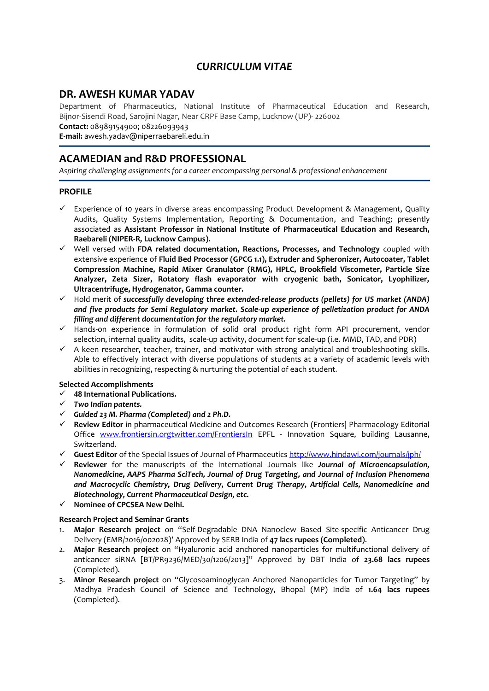# *CURRICULUM VITAE*

## **DR. AWESH KUMAR YADAV**

Department of Pharmaceutics, National Institute of Pharmaceutical Education and Research, Bijnor-Sisendi Road, Sarojini Nagar, Near CRPF Base Camp, Lucknow (UP)- 226002

**Contact:** 08989154900; 08226093943

**E-mail:** awesh.yadav@niperraebareli.edu.in

# **ACAMEDIAN and R&D PROFESSIONAL**

*Aspiring challenging assignments for a career encompassing personal & professional enhancement*

## **PROFILE**

- $\checkmark$  Experience of 10 years in diverse areas encompassing Product Development & Management, Quality Audits, Quality Systems Implementation, Reporting & Documentation, and Teaching; presently associated as **Assistant Professor in National Institute of Pharmaceutical Education and Research, Raebareli (NIPER-R, Lucknow Campus).**
- ✓ Well versed with **FDA related documentation, Reactions, Processes, and Technology** coupled with extensive experience of **Fluid Bed Processor (GPCG 1.1), Extruder and Spheronizer, Autocoater, Tablet Compression Machine, Rapid Mixer Granulator (RMG), HPLC, Brookfield Viscometer, Particle Size Analyzer, Zeta Sizer, Rotatory flash evaporator with cryogenic bath, Sonicator, Lyophilizer, Ultracentrifuge, Hydrogenator, Gamma counter.**
- ✓ Hold merit of *successfully developing three extended-release products (pellets) for US market (ANDA) and five products for Semi Regulatory market. Scale-up experience of pelletization product for ANDA filling and different documentation for the regulatory market.*
- ✓ Hands-on experience in formulation of solid oral product right form API procurement, vendor selection, internal quality audits, scale-up activity, document for scale-up (i.e. MMD, TAD, and PDR)
- ✓ A keen researcher, teacher, trainer, and motivator with strong analytical and troubleshooting skills. Able to effectively interact with diverse populations of students at a variety of academic levels with abilities in recognizing, respecting & nurturing the potential of each student.

### **Selected Accomplishments**

- ✓ **48 International Publications***.*
- ✓ *Two Indian patents.*
- ✓ *Guided 23 M. Pharma (Completed) and 2 Ph.D.*
- ✓ **Review Editor** in pharmaceutical Medicine and Outcomes Research (Frontiers| Pharmacology Editorial Office [www.frontiersin.orgtwitter.com/FrontiersIn](http://www.frontiersin.orgtwitter.com/FrontiersIn) EPFL - Innovation Square, building Lausanne, Switzerland.
- ✓ **Guest Editor** of the Special Issues of Journal of Pharmaceutic[s http://www.hindawi.com/journals/jph/](http://www.hindawi.com/journals/jph/)
- ✓ **Reviewer** for the manuscripts of the international Journals like *Journal of Microencapsulation, Nanomedicine, AAPS Pharma SciTech, Journal of Drug Targeting, and Journal of Inclusion Phenomena and Macrocyclic Chemistry, Drug Delivery, Current Drug Therapy, Artificial Cells, Nanomedicine and Biotechnology, Current Pharmaceutical Design, etc.*
- ✓ **Nominee of CPCSEA New Delhi.**

### **Research Project and Seminar Grants**

- 1. **Major Research project** on "Self-Degradable DNA Nanoclew Based Site-specific Anticancer Drug Delivery (EMR/2016/002028)' Approved by SERB India of **47 lacs rupees (Completed)**.
- 2. **Major Research project** on "Hyaluronic acid anchored nanoparticles for multifunctional delivery of anticancer siRNA [BT/PR9236/MED/30/1206/2013]" Approved by DBT India of **23.68 lacs rupees** (Completed).
- 3. **Minor Research project** on "Glycosoaminoglycan Anchored Nanoparticles for Tumor Targeting" by Madhya Pradesh Council of Science and Technology, Bhopal (MP) India of **1.64 lacs rupees** (Completed).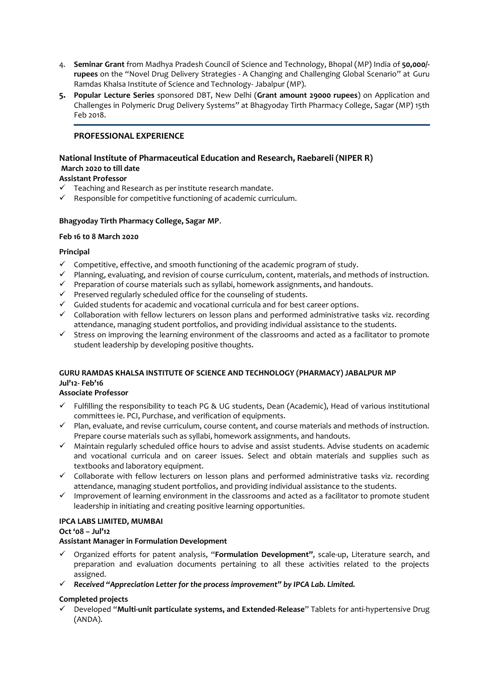- 4. **Seminar Grant** from Madhya Pradesh Council of Science and Technology, Bhopal (MP) India of **50,000/ rupees** on the "Novel Drug Delivery Strategies - A Changing and Challenging Global Scenario" at Guru Ramdas Khalsa Institute of Science and Technology- Jabalpur (MP).
- **5. Popular Lecture Series** sponsored DBT, New Delhi (**Grant amount 29000 rupees**) on Application and Challenges in Polymeric Drug Delivery Systems" at Bhagyoday Tirth Pharmacy College, Sagar (MP) 15th Feb 2018.

## **PROFESSIONAL EXPERIENCE**

#### **National Institute of Pharmaceutical Education and Research, Raebareli (NIPER R) March 2020 to till date**

## **Assistant Professor**

- ✓ Teaching and Research as per institute research mandate.
- $\checkmark$  Responsible for competitive functioning of academic curriculum.

### **Bhagyoday Tirth Pharmacy College, Sagar MP**.

### **Feb 16 t0 8 March 2020**

### **Principal**

- ✓ Competitive, effective, and smooth functioning of the academic program of study.
- ✓ Planning, evaluating, and revision of course curriculum, content, materials, and methods of instruction.
- ✓ Preparation of course materials such as syllabi, homework assignments, and handouts.
- ✓ Preserved regularly scheduled office for the counseling of students.
- ✓ Guided students for academic and vocational curricula and for best career options.
- ✓ Collaboration with fellow lecturers on lesson plans and performed administrative tasks viz. recording attendance, managing student portfolios, and providing individual assistance to the students.
- ✓ Stress on improving the learning environment of the classrooms and acted as a facilitator to promote student leadership by developing positive thoughts.

## **GURU RAMDAS KHALSA INSTITUTE OF SCIENCE AND TECHNOLOGY (PHARMACY) JABALPUR MP Jul'12- Feb'16**

### **Associate Professor**

- Fulfilling the responsibility to teach PG & UG students, Dean (Academic), Head of various institutional committees ie. PCI, Purchase, and verification of equipments.
- ✓ Plan, evaluate, and revise curriculum, course content, and course materials and methods of instruction. Prepare course materials such as syllabi, homework assignments, and handouts.
- ✓ Maintain regularly scheduled office hours to advise and assist students. Advise students on academic and vocational curricula and on career issues. Select and obtain materials and supplies such as textbooks and laboratory equipment.
- ✓ Collaborate with fellow lecturers on lesson plans and performed administrative tasks viz. recording attendance, managing student portfolios, and providing individual assistance to the students.
- ✓ Improvement of learning environment in the classrooms and acted as a facilitator to promote student leadership in initiating and creating positive learning opportunities.

### **IPCA LABS LIMITED, MUMBAI**

### **Oct '08 – Jul'12**

### **Assistant Manager in Formulation Development**

- ✓ Organized efforts for patent analysis, "**Formulation Development"**, scale-up, Literature search, and preparation and evaluation documents pertaining to all these activities related to the projects assigned.
- ✓ *Received "Appreciation Letter for the process improvement" by IPCA Lab. Limited.*

### **Completed projects**

✓ Developed "**Multi-unit particulate systems, and Extended-Release**" Tablets for anti-hypertensive Drug (ANDA).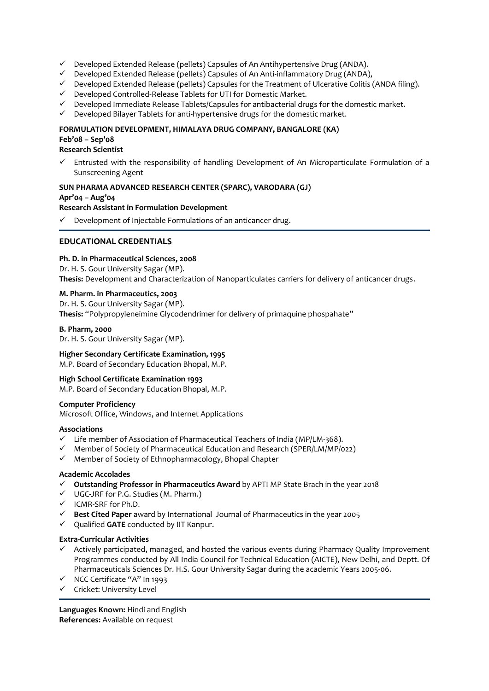- ✓ Developed Extended Release (pellets) Capsules of An Antihypertensive Drug (ANDA).
- ✓ Developed Extended Release (pellets) Capsules of An Anti-inflammatory Drug (ANDA),
- $\checkmark$  Developed Extended Release (pellets) Capsules for the Treatment of Ulcerative Colitis (ANDA filing).
- ✓ Developed Controlled-Release Tablets for UTI for Domestic Market.
- $\checkmark$  Developed Immediate Release Tablets/Capsules for antibacterial drugs for the domestic market.
- ✓ Developed Bilayer Tablets for anti-hypertensive drugs for the domestic market.

#### **FORMULATION DEVELOPMENT, HIMALAYA DRUG COMPANY, BANGALORE (KA)**

## **Feb'08 – Sep'08**

### **Research Scientist**

Entrusted with the responsibility of handling Development of An Microparticulate Formulation of a Sunscreening Agent

## **SUN PHARMA ADVANCED RESEARCH CENTER (SPARC), VARODARA (GJ)**

#### **Apr'04 – Aug'04**

#### **Research Assistant in Formulation Development**

Development of Injectable Formulations of an anticancer drug.

### **EDUCATIONAL CREDENTIALS**

## **Ph. D. in Pharmaceutical Sciences, 2008**

Dr. H. S. Gour University Sagar (MP). **Thesis:** Development and Characterization of Nanoparticulates carriers for delivery of anticancer drugs.

#### **M. Pharm. in Pharmaceutics, 2003**

Dr. H. S. Gour University Sagar (MP). **Thesis:** "Polypropyleneimine Glycodendrimer for delivery of primaquine phospahate"

#### **B. Pharm, 2000**

Dr. H. S. Gour University Sagar (MP).

### **Higher Secondary Certificate Examination, 1995**

M.P. Board of Secondary Education Bhopal, M.P.

### **High School Certificate Examination 1993**

M.P. Board of Secondary Education Bhopal, M.P.

#### **Computer Proficiency**

Microsoft Office, Windows, and Internet Applications

### **Associations**

- ✓ Life member of Association of Pharmaceutical Teachers of India (MP/LM-368).
- $\checkmark$  Member of Society of Pharmaceutical Education and Research (SPER/LM/MP/022)
- ✓ Member of Society of Ethnopharmacology, Bhopal Chapter

#### **Academic Accolades**

- ✓ **Outstanding Professor in Pharmaceutics Award** by APTI MP State Brach in the year 2018
- ✓ UGC-JRF for P.G. Studies (M. Pharm.)
- ✓ ICMR-SRF for Ph.D.
- ✓ **Best Cited Paper** award by International Journal of Pharmaceutics in the year 2005
- ✓ Qualified **GATE** conducted by IIT Kanpur.

### **Extra-Curricular Activities**

- ✓ Actively participated, managed, and hosted the various events during Pharmacy Quality Improvement Programmes conducted by All India Council for Technical Education (AICTE), New Delhi, and Deptt. Of Pharmaceuticals Sciences Dr. H.S. Gour University Sagar during the academic Years 2005-06.
- ✓ NCC Certificate "A" In 1993
- ✓ Cricket: University Level

**Languages Known:** Hindi and English **References:** Available on request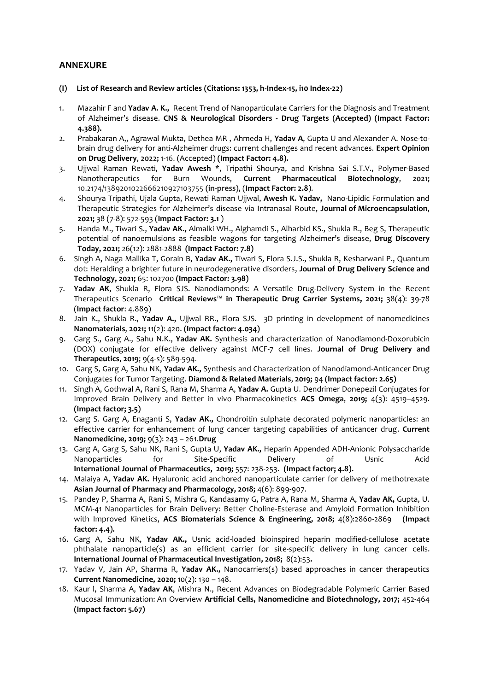## **ANNEXURE**

- **(I) List of Research and Review articles (Citations: 1353, h-Index-15, i10 Index-22)**
- 1. Mazahir F and **Yadav A. K.,** Recent Trend of Nanoparticulate Carriers for the Diagnosis and Treatment of Alzheimer's disease. **CNS & Neurological Disorders - Drug Targets (Accepted) (Impact Factor: 4.388).**
- 2. Prabakaran A,, Agrawal Mukta, Dethea MR , Ahmeda H, **Yadav A**, Gupta U and Alexander A. Nose-tobrain drug delivery for anti-Alzheimer drugs: current challenges and recent advances. **Expert Opinion on Drug Delivery**, **2022;** 1-16. (Accepted) **(Impact Factor: 4.8).**
- 3. Ujjwal Raman Rewati, **Yadav Awesh** \*, Tripathi Shourya, and Krishna Sai S.T.V., Polymer-Based Nanotherapeutics for Burn Wounds, **Current Pharmaceutical Biotechnology**, **2021;** 10.2174/1389201022666210927103755 **(in-press)**, (**Impact Factor: 2.8**).
- 4. [Shourya Tripathi,](https://www.tandfonline.com/author/Tripathi%2C+Shourya) [Ujala Gupta,](https://www.tandfonline.com/author/Gupta%2C+Ujala) [Rewati Raman Ujjwal,](https://www.tandfonline.com/author/Ujjwal%2C+Rewati+Raman) **[Awesh K. Yadav,](https://www.tandfonline.com/author/Yadav%2C+Awesh+K)** Nano-Lipidic Formulation and Therapeutic Strategies for Alzheimer's disease via Intranasal Route, **Journal of Microencapsulation**, **2021;** 38 (7-8): 572-593 (**Impact Factor: 3.1** )
- 5. [Handa](https://www.sciencedirect.com/science/article/pii/S1359644621003251#!) M., [Tiwari](https://www.sciencedirect.com/science/article/pii/S1359644621003251#!) S., **[Yadav](https://www.sciencedirect.com/science/article/pii/S1359644621003251#!) AK.,** [Almalki](https://www.sciencedirect.com/science/article/pii/S1359644621003251#!) WH., [Alghamdi](https://www.sciencedirect.com/science/article/pii/S1359644621003251#!) S., [Alharbid](https://www.sciencedirect.com/science/article/pii/S1359644621003251#!) KS., [Shukla](https://www.sciencedirect.com/science/article/pii/S1359644621003251#!) R., [Beg](https://www.sciencedirect.com/science/article/pii/S1359644621003251#!) S, Therapeutic potential of nanoemulsions as feasible wagons for targeting Alzheimer's disease, **[Drug Discovery](https://www.sciencedirect.com/science/journal/13596446)  [Today,](https://www.sciencedirect.com/science/journal/13596446) 2021;** 26(12): 2881-2888 **(Impact Factor: 7.8)**
- 6. Singh A, Naga Mallika T, Gorain B, **Yadav AK.,** Tiwari S, Flora S.J.S., Shukla R, Kesharwani P., Quantum dot: Heralding a brighter future in neurodegenerative disorders, **[Journal of Drug Delivery Science and](https://www.sciencedirect.com/science/journal/17732247)  [Technology,](https://www.sciencedirect.com/science/journal/17732247) 2021;** 65: 102700 **(Impact Factor: 3.98)**
- 7. **Yadav AK**, Shukla R, Flora SJS. [Nanodiamonds: A Versatile Drug-Delivery System in](javascript:void(0)) the Recent [Therapeutics Scenario](javascript:void(0)) **Critical Reviews™ in Therapeutic Drug Carrier Systems, 2021;** 38(4): 39-78 (**Impact factor**: 4.889)
- 8. Jain K., Shukla R., **Yadav A.,** Ujjwal RR., Flora SJS. [3D printing in development of nanomedicines](javascript:void(0)) **Nanomaterials**, **2021;** 11(2): 420. **(Impact factor: 4.034)**
- 9. Garg S., Garg A., Sahu N.K., **Yadav AK.** Synthesis and characterization of Nanodiamond-Doxorubicin (DOX) conjugate for effective delivery against MCF-7 cell lines. **Journal of Drug Delivery and Therapeutics**, **2019**; 9(4-s): 589-594.
- 10. Garg S, Garg A, Sahu NK, **Yadav AK.,** Synthesis and Characterization of Nanodiamond-Anticancer Drug Conjugates for Tumor Targeting. **Diamond & Related Materials**, **2019;** 94 **(Impact factor: 2.65)**
- 11. Singh A, Gothwal A, Rani S, Rana M, Sharma A, **Yadav A.** Gupta U. Dendrimer Donepezil Conjugates for Improved Brain Delivery and Better in vivo Pharmacokinetics **ACS Omega**, **2019;** 4(3): 4519–4529. **(Impact factor; 3.5)**
- 12. Garg S. Garg A, Enaganti S, **Yadav AK.,** Chondroitin sulphate decorated polymeric nanoparticles: an effective carrier for enhancement of lung cancer targeting capabilities of anticancer drug. **Current Nanomedicine, 2019;** 9(3): 243 – 261.**Drug**
- 13. Garg A, Garg S, Sahu NK, Rani S, Gupta U, **Yadav AK.,** Heparin Appended ADH-Anionic Polysaccharide Nanoparticles for Site-Specific Delivery of Usnic Acid **International Journal of Pharmaceutics, 2019;** 557: 238-253. **(Impact factor; 4.8).**
- 14. Malaiya A, **Yadav AK.** Hyaluronic acid anchored nanoparticulate carrier for delivery of methotrexate **Asian Journal of Pharmacy and Pharmacology, 2018;** 4(6): 899-907.
- 15. Pandey P, Sharma A, Rani S, Mishra G, Kandasamy G, Patra A, Rana M, Sharma A, **Yadav AK,** Gupta, U. MCM-41 Nanoparticles for Brain Delivery: Better Choline-Esterase and Amyloid Formation Inhibition with Improved Kinetics, **ACS Biomaterials Science & Engineering, 2018;** 4(8):2860-2869 **(Impact factor: 4.4).**
- 16. Garg A, Sahu NK, **Yadav AK.,** Usnic acid-loaded bioinspired heparin modified-cellulose acetate phthalate nanoparticle(s) as an efficient carrier for site-specific delivery in lung cancer cells. **International Journal of Pharmaceutical Investigation, 2018;** 8(2):53**.**
- 17. Yadav V, Jain AP, Sharma R, **Yadav AK.,** Nanocarriers(s) based approaches in cancer therapeutics **Current Nanomedicine, 2020;** 10(2): 130 – 148.
- 18. Kaur l, Sharma A, **Yadav AK**, Mishra N., Recent Advances on Biodegradable Polymeric Carrier Based Mucosal Immunization: An Overview **Artificial Cells, Nanomedicine and Biotechnology, 2017;** 452-464 **(Impact factor: 5.67)**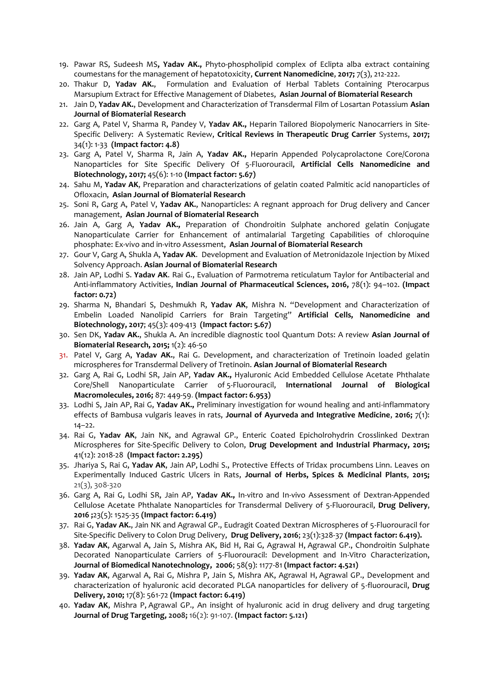- 19. Pawar RS, Sudeesh MS**, Yadav AK.,** Phyto-phospholipid complex of Eclipta alba extract containing coumestans for the management of hepatotoxicity, **Current Nanomedicine**, **2017;** 7(3), 212-222.
- 20. Thakur D, **Yadav AK.**, Formulation and Evaluation of Herbal Tablets Containing Pterocarpus Marsupium Extract for Effective Management of Diabetes, **Asian Journal of Biomaterial Research**
- 21. Jain D, **Yadav AK.**, Development and Characterization of Transdermal Film of Losartan Potassium **Asian Journal of Biomaterial Research**
- 22. Garg A, Patel V, Sharma R, Pandey V, **Yadav AK.,** Heparin Tailored Biopolymeric Nanocarriers in Site-Specific Delivery: A Systematic Review, **Critical Reviews in Therapeutic Drug Carrier** Systems, **2017;** 34(1): 1-33 **(Impact factor: 4.8)**
- 23. Garg A, Patel V, Sharma R, Jain A, **Yadav AK.,** Heparin Appended Polycaprolactone Core/Corona Nanoparticles for Site Specific Delivery Of 5-Fluorouracil, **Artificial Cells Nanomedicine and Biotechnology, 2017;** 45(6): 1-10 **(Impact factor: 5.67)**
- 24. Sahu M, **Yadav AK**, Preparation and characterizations of gelatin coated Palmitic acid nanoparticles of Ofloxacin, **Asian Journal of Biomaterial Research**
- 25. Soni R, Garg A, Patel V, **Yadav AK.**, Nanoparticles: A regnant approach for Drug delivery and Cancer management, **Asian Journal of Biomaterial Research**
- 26. Jain A, Garg A, **Yadav AK.,** Preparation of Chondroitin Sulphate anchored gelatin Conjugate Nanoparticulate Carrier for Enhancement of antimalarial Targeting Capabilities of chloroquine phosphate: Ex-vivo and in-vitro Assessment, **Asian Journal of Biomaterial Research**
- 27. Gour V, Garg A, Shukla A, **Yadav AK**. Development and Evaluation of Metronidazole Injection by Mixed Solvency Approach. **Asian Journal of Biomaterial Research**
- 28. Jain AP, Lodhi S. **Yadav AK**. Rai G., Evaluation of Parmotrema reticulatum Taylor for Antibacterial and Anti-inflammatory Activities, **Indian Journal of Pharmaceutical Sciences, 2016,** 78(1): 94–102. **(Impact factor: 0.72)**
- 29. Sharma N, Bhandari S, Deshmukh R, **Yadav AK**, Mishra N. "Development and Characterization of Embelin Loaded Nanolipid Carriers for Brain Targeting" **Artificial Cells, Nanomedicine and Biotechnology, 2017**; 45(3): 409-413 **(Impact factor: 5.67)**
- 30. Sen DK, **Yadav AK.**, Shukla A. An incredible diagnostic tool Quantum Dots: A review **Asian Journal of Biomaterial Research, 2015;** 1(2): 46-50
- 31. Patel V, Garg A, **Yadav AK.**, Rai G. Development, and characterization of Tretinoin loaded gelatin microspheres for Transdermal Delivery of Tretinoin. **Asian Journal of Biomaterial Research**
- 32. Garg A, Rai G, Lodhi SR, Jain AP, **Yadav AK.,** Hyaluronic Acid Embedded Cellulose Acetate Phthalate Core/Shell Nanoparticulate Carrier of 5-Fluorouracil, **International Journal of Biological Macromolecules, 2016;** 87: 449-59. **(Impact factor: 6.953)**
- 33. Lodhi S, Jain AP, Rai G, **Yadav AK.,** Preliminary investigation for wound healing and anti-inflammatory effects of Bambusa vulgaris leaves in rats, **Journal of Ayurveda and Integrative Medicine**, **2016;** 7(1): 14–22.
- 34. Rai G, **Yadav AK**, Jain NK, and Agrawal GP., Enteric Coated Epicholrohydrin Crosslinked Dextran Microspheres for Site-Specific Delivery to Colon, **Drug Development and Industrial Pharmacy, 2015;** 41(12): 2018-28 **(Impact factor: 2.295)**
- 35. Jhariya S, Rai G, **Yadav AK**, Jain AP, Lodhi S., Protective Effects of Tridax procumbens Linn. Leaves on Experimentally Induced Gastric Ulcers in Rats, **Journal of Herbs, Spices & Medicinal Plants**, **2015;**  21(3), 308-320
- 36. Garg A, Rai G, Lodhi SR, Jain AP, **Yadav AK.,** In-vitro and In-vivo Assessment of Dextran-Appended Cellulose Acetate Phthalate Nanoparticles for Transdermal Delivery of 5-Fluorouracil, **Drug Delivery**, **2016 ;**23(5): 1525-35 **(Impact factor: 6.419)**
- 37. Rai G, **Yadav AK.**, Jain NK and Agrawal GP., Eudragit Coated Dextran Microspheres of 5-Fluorouracil for Site-Specific Delivery to Colon Drug Delivery, **Drug Delivery, 2016**; 23(1):328-37 **(Impact factor: 6.419).**
- 38. **Yadav AK**, Agarwal A, Jain S, Mishra AK, Bid H, Rai G, Agrawal H, Agrawal GP., Chondroitin Sulphate Decorated Nanoparticulate Carriers of 5-Fluorouracil: Development and In-Vitro Characterization, **Journal of Biomedical Nanotechnology, 2006**; 58(9): 1177-81 **(Impact factor: 4.521)**
- 39. **Yadav AK**, Agarwal A, Rai G, Mishra P, Jain S, Mishra AK, Agrawal H, Agrawal GP., [Development and](http://www.ncbi.nlm.nih.gov/pubmed/20738221)  [characterization of hyaluronic acid decorated PLGA nanoparticles for delivery of 5-fluorouracil,](http://www.ncbi.nlm.nih.gov/pubmed/20738221) **Drug Delivery, 2010;** 17(8): 561-72 **(Impact factor: 6.419)**
- 40. **Yadav AK**, Mishra P, Agrawal GP., An insight of hyaluronic acid in drug delivery and drug targeting **Journal of Drug Targeting, 2008;** 16(2): 91-107. **(Impact factor: 5.121)**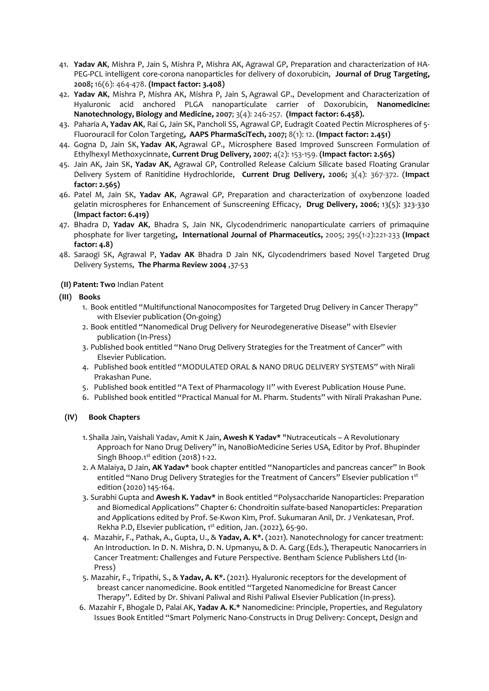- 41. **Yadav AK**, Mishra P, Jain S, Mishra P, Mishra AK, Agrawal GP, Preparation and characterization of HA-PEG-PCL intelligent core-corona nanoparticles for delivery of doxorubicin, **Journal of Drug Targeting, 2008;** 16(6): 464-478. **(Impact factor: 3.408)**
- 42. **Yadav AK**, Mishra P, Mishra AK, Mishra P, Jain S, Agrawal GP., Development and Characterization of Hyaluronic acid anchored PLGA nanoparticulate carrier of Doxorubicin, **Nanomedicine: Nanotechnology, Biology and Medicine, 2007**; 3(4): 246-257. **(Impact factor: 6.458).**
- 43. Paharia A, **Yadav AK**, Rai G, Jain SK, Pancholi SS, Agrawal GP, Eudragit Coated Pectin Microspheres of 5- Fluorouracil for Colon Targeting**, AAPS PharmaSciTech, 2007;** 8(1): 12. **(Impact factor: 2.451)**
- 44. Gogna D, Jain SK, **Yadav AK**, Agrawal GP., Microsphere Based Improved Sunscreen Formulation of Ethylhexyl Methoxycinnate, **Current Drug Delivery, 2007**; 4(2): 153-159. **(Impact factor: 2.565)**
- 45. Jain AK, Jain SK, **Yadav AK**, Agrawal GP, Controlled Release Calcium Silicate based Floating Granular Delivery System of Ranitidine Hydrochloride, **Current Drug Delivery, 2006;** 3(4): 367-372. (**Impact factor: 2.565)**
- 46. Patel M, Jain SK, **Yadav AK**, Agrawal GP, Preparation and characterization of oxybenzone loaded gelatin microspheres for Enhancement of Sunscreening Efficacy, **Drug Delivery, 2006**; 13(5): 323-330 **(Impact factor: 6.419)**
- 47. Bhadra D, **Yadav AK**, Bhadra S, Jain NK, Glycodendrimeric nanoparticulate carriers of primaquine phosphate for liver targeting**, International Journal of Pharmaceutics,** 2005; 295(1-2):221-233 **(Impact factor: 4.8)**
- 48. Saraogi SK, Agrawal P, **Yadav AK** Bhadra D Jain NK, Glycodendrimers based Novel Targeted Drug Delivery Systems, **The Pharma Review 2004** ,37-53
- **(II) Patent: Two** Indian Patent
- **(III) Books**
	- 1. Book entitled "Multifunctional Nanocomposites for Targeted Drug Delivery in Cancer Therapy" with Elsevier publication (On-going)
	- 2. Book entitled "Nanomedical Drug Delivery for Neurodegenerative Disease" with Elsevier publication (In-Press)
	- 3. Published book entitled "Nano Drug Delivery Strategies for the Treatment of Cancer" with Elsevier Publication.
	- 4. Published book entitled "MODULATED ORAL & NANO DRUG DELIVERY SYSTEMS" with Nirali Prakashan Pune.
	- 5. Published book entitled "A Text of Pharmacology II" with Everest Publication House Pune.
	- 6. Published book entitled "Practical Manual for M. Pharm. Students" with Nirali Prakashan Pune.

### **(IV) Book Chapters**

- 1. Shaila Jain, Vaishali Yadav, Amit K Jain, **Awesh K Yadav\*** "Nutraceuticals A Revolutionary Approach for Nano Drug Delivery" in, NanoBioMedicine Series USA, Editor by Prof. Bhupinder Singh Bhoop.1<sup>st</sup> edition (2018) 1-22.
- 2. A Malaiya, D Jain, **AK Yadav\*** book chapter entitled "[Nanoparticles and pancreas cancer](javascript:void(0))" In Book entitled "Nano Drug Delivery Strategies for the Treatment of Cancers" Elsevier publication 1st edition (2020) 145-164.
- 3. Surabhi Gupta and **Awesh K. Yadav\*** in Book entitled "Polysaccharide Nanoparticles: Preparation and Biomedical Applications" Chapter 6: Chondroitin sulfate-based Nanoparticles: Preparation and Applications edited by Prof. Se-Kwon Kim, Prof. Sukumaran Anil, Dr. J Venkatesan, Prof. Rekha P.D, Elsevier publication, 1<sup>st</sup> edition, Jan. (2022), 65-90.
- 4. Mazahir, F., Pathak, A., Gupta, U., & **Yadav, A. K\*.** (2021). Nanotechnology for cancer treatment: An Introduction. In D. N. Mishra, D. N. Upmanyu, & D. A. Garg (Eds.), Therapeutic Nanocarriers in Cancer Treatment: Challenges and Future Perspective. Bentham Science Publishers Ltd (In-Press)
- 5. Mazahir, F., Tripathi, S., & **Yadav, A. K\*.** (2021). Hyaluronic receptors for the development of breast cancer nanomedicine. Book entitled "Targeted Nanomedicine for Breast Cancer Therapy". Edited by Dr. Shivani Paliwal and Rishi Paliwal Elsevier Publication (In-press).
- 6. Mazahir F, Bhogale D, Palai AK, **Yadav A. K.\*** Nanomedicine: Principle, Properties, and Regulatory Issues Book Entitled "Smart Polymeric Nano-Constructs in Drug Delivery: Concept, Design and